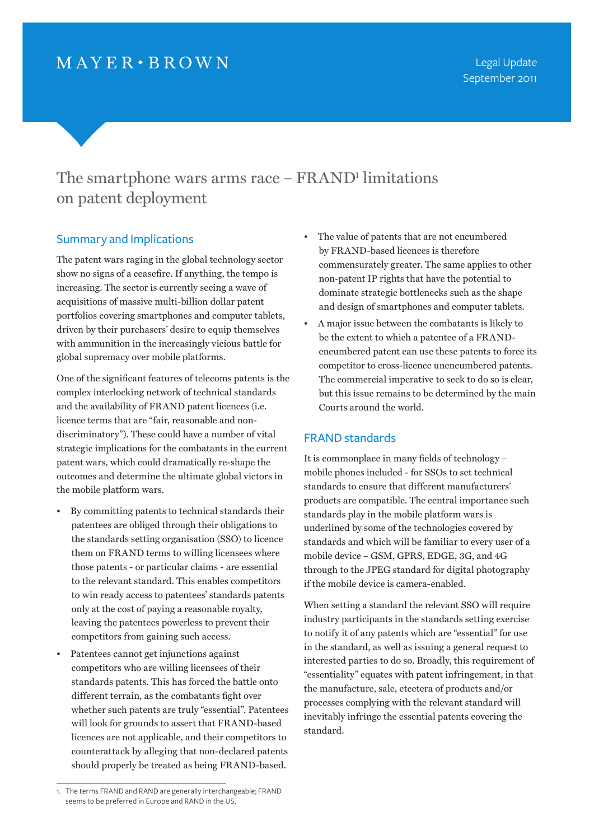# $MAYER \cdot BROWN$

## The smartphone wars arms race – FRAND<sup>1</sup> limitations on patent deployment

#### Summary and Implications

The patent wars raging in the global technology sector show no signs of a ceasefire. If anything, the tempo is increasing. The sector is currently seeing a wave of acquisitions of massive multi-billion dollar patent portfolios covering smartphones and computer tablets, driven by their purchasers' desire to equip themselves with ammunition in the increasingly vicious battle for global supremacy over mobile platforms.

One of the significant features of telecoms patents is the complex interlocking network of technical standards and the availability of FRAND patent licences (i.e. licence terms that are "fair, reasonable and nondiscriminatory"). These could have a number of vital strategic implications for the combatants in the current patent wars, which could dramatically re-shape the outcomes and determine the ultimate global victors in the mobile platform wars.

- By committing patents to technical standards their patentees are obliged through their obligations to the standards setting organisation (SSO) to licence them on FRAND terms to willing licensees where those patents - or particular claims - are essential to the relevant standard. This enables competitors to win ready access to patentees' standards patents only at the cost of paying a reasonable royalty, leaving the patentees powerless to prevent their competitors from gaining such access.
- Patentees cannot get injunctions against competitors who are willing licensees of their standards patents. This has forced the battle onto different terrain, as the combatants fight over whether such patents are truly "essential". Patentees will look for grounds to assert that FRAND-based licences are not applicable, and their competitors to counterattack by alleging that non-declared patents should properly be treated as being FRAND-based.

• A major issue between the combatants is likely to be the extent to which a patentee of a FRANDencumbered patent can use these patents to force its competitor to cross-licence unencumbered patents. The commercial imperative to seek to do so is clear, but this issue remains to be determined by the main Courts around the world.

#### FRAND standards

It is commonplace in many fields of technology – mobile phones included - for SSOs to set technical standards to ensure that different manufacturers' products are compatible. The central importance such standards play in the mobile platform wars is underlined by some of the technologies covered by standards and which will be familiar to every user of a mobile device – GSM, GPRS, EDGE, 3G, and 4G through to the JPEG standard for digital photography if the mobile device is camera-enabled.

When setting a standard the relevant SSO will require industry participants in the standards setting exercise to notify it of any patents which are "essential" for use in the standard, as well as issuing a general request to interested parties to do so. Broadly, this requirement of "essentiality" equates with patent infringement, in that the manufacture, sale, etcetera of products and/or processes complying with the relevant standard will inevitably infringe the essential patents covering the standard.

<sup>•</sup> The value of patents that are not encumbered by FRAND-based licences is therefore commensurately greater. The same applies to other non-patent IP rights that have the potential to dominate strategic bottlenecks such as the shape and design of smartphones and computer tablets.

<sup>1.</sup> The terms FRAND and RAND are generally interchangeable; FRAND seems to be preferred in Europe and RAND in the US.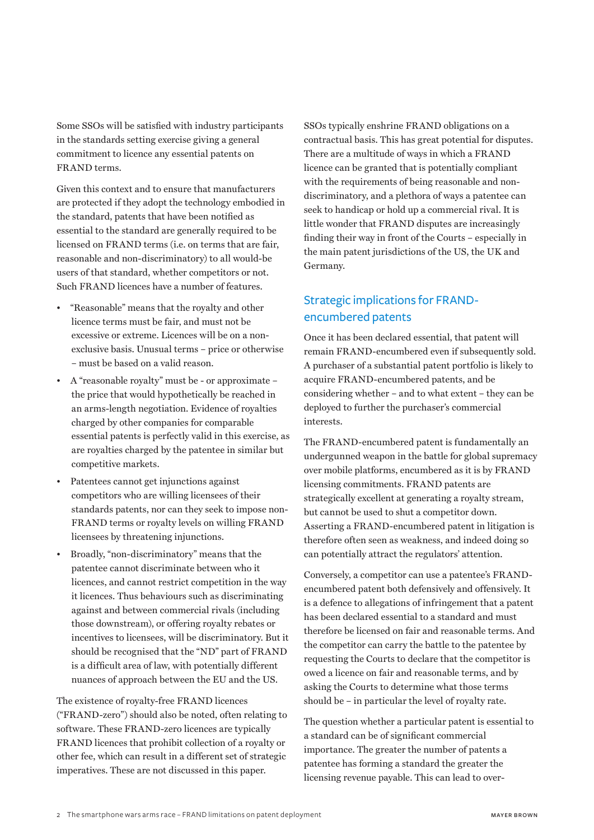Some SSOs will be satisfied with industry participants in the standards setting exercise giving a general commitment to licence any essential patents on FRAND terms.

Given this context and to ensure that manufacturers are protected if they adopt the technology embodied in the standard, patents that have been notified as essential to the standard are generally required to be licensed on FRAND terms (i.e. on terms that are fair, reasonable and non-discriminatory) to all would-be users of that standard, whether competitors or not. Such FRAND licences have a number of features.

- "Reasonable" means that the royalty and other licence terms must be fair, and must not be excessive or extreme. Licences will be on a nonexclusive basis. Unusual terms – price or otherwise – must be based on a valid reason.
- A "reasonable royalty" must be or approximate the price that would hypothetically be reached in an arms-length negotiation. Evidence of royalties charged by other companies for comparable essential patents is perfectly valid in this exercise, as are royalties charged by the patentee in similar but competitive markets.
- Patentees cannot get injunctions against competitors who are willing licensees of their standards patents, nor can they seek to impose non-FRAND terms or royalty levels on willing FRAND licensees by threatening injunctions.
- Broadly, "non-discriminatory" means that the patentee cannot discriminate between who it licences, and cannot restrict competition in the way it licences. Thus behaviours such as discriminating against and between commercial rivals (including those downstream), or offering royalty rebates or incentives to licensees, will be discriminatory. But it should be recognised that the "ND" part of FRAND is a difficult area of law, with potentially different nuances of approach between the EU and the US.

The existence of royalty-free FRAND licences ("FRAND-zero") should also be noted, often relating to software. These FRAND-zero licences are typically FRAND licences that prohibit collection of a royalty or other fee, which can result in a different set of strategic imperatives. These are not discussed in this paper.

SSOs typically enshrine FRAND obligations on a contractual basis. This has great potential for disputes. There are a multitude of ways in which a FRAND licence can be granted that is potentially compliant with the requirements of being reasonable and nondiscriminatory, and a plethora of ways a patentee can seek to handicap or hold up a commercial rival. It is little wonder that FRAND disputes are increasingly finding their way in front of the Courts – especially in the main patent jurisdictions of the US, the UK and Germany.

### Strategic implications for FRANDencumbered patents

Once it has been declared essential, that patent will remain FRAND-encumbered even if subsequently sold. A purchaser of a substantial patent portfolio is likely to acquire FRAND-encumbered patents, and be considering whether – and to what extent – they can be deployed to further the purchaser's commercial interests.

The FRAND-encumbered patent is fundamentally an undergunned weapon in the battle for global supremacy over mobile platforms, encumbered as it is by FRAND licensing commitments. FRAND patents are strategically excellent at generating a royalty stream, but cannot be used to shut a competitor down. Asserting a FRAND-encumbered patent in litigation is therefore often seen as weakness, and indeed doing so can potentially attract the regulators' attention.

Conversely, a competitor can use a patentee's FRANDencumbered patent both defensively and offensively. It is a defence to allegations of infringement that a patent has been declared essential to a standard and must therefore be licensed on fair and reasonable terms. And the competitor can carry the battle to the patentee by requesting the Courts to declare that the competitor is owed a licence on fair and reasonable terms, and by asking the Courts to determine what those terms should be – in particular the level of royalty rate.

The question whether a particular patent is essential to a standard can be of significant commercial importance. The greater the number of patents a patentee has forming a standard the greater the licensing revenue payable. This can lead to over-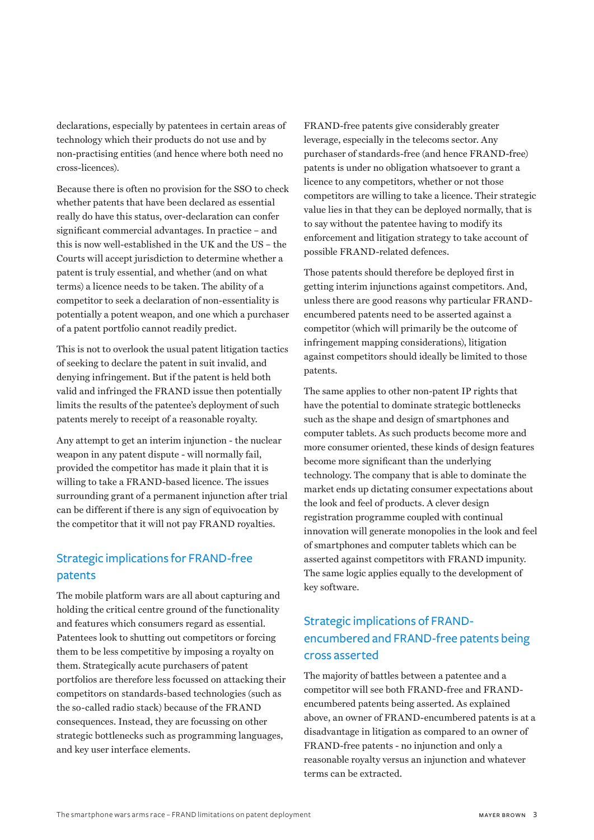declarations, especially by patentees in certain areas of technology which their products do not use and by non-practising entities (and hence where both need no cross-licences).

Because there is often no provision for the SSO to check whether patents that have been declared as essential really do have this status, over-declaration can confer significant commercial advantages. In practice – and this is now well-established in the UK and the US – the Courts will accept jurisdiction to determine whether a patent is truly essential, and whether (and on what terms) a licence needs to be taken. The ability of a competitor to seek a declaration of non-essentiality is potentially a potent weapon, and one which a purchaser of a patent portfolio cannot readily predict.

This is not to overlook the usual patent litigation tactics of seeking to declare the patent in suit invalid, and denying infringement. But if the patent is held both valid and infringed the FRAND issue then potentially limits the results of the patentee's deployment of such patents merely to receipt of a reasonable royalty.

Any attempt to get an interim injunction - the nuclear weapon in any patent dispute - will normally fail, provided the competitor has made it plain that it is willing to take a FRAND-based licence. The issues surrounding grant of a permanent injunction after trial can be different if there is any sign of equivocation by the competitor that it will not pay FRAND royalties.

### Strategic implications for FRAND-free patents

The mobile platform wars are all about capturing and holding the critical centre ground of the functionality and features which consumers regard as essential. Patentees look to shutting out competitors or forcing them to be less competitive by imposing a royalty on them. Strategically acute purchasers of patent portfolios are therefore less focussed on attacking their competitors on standards-based technologies (such as the so-called radio stack) because of the FRAND consequences. Instead, they are focussing on other strategic bottlenecks such as programming languages, and key user interface elements.

FRAND-free patents give considerably greater leverage, especially in the telecoms sector. Any purchaser of standards-free (and hence FRAND-free) patents is under no obligation whatsoever to grant a licence to any competitors, whether or not those competitors are willing to take a licence. Their strategic value lies in that they can be deployed normally, that is to say without the patentee having to modify its enforcement and litigation strategy to take account of possible FRAND-related defences.

Those patents should therefore be deployed first in getting interim injunctions against competitors. And, unless there are good reasons why particular FRANDencumbered patents need to be asserted against a competitor (which will primarily be the outcome of infringement mapping considerations), litigation against competitors should ideally be limited to those patents.

The same applies to other non-patent IP rights that have the potential to dominate strategic bottlenecks such as the shape and design of smartphones and computer tablets. As such products become more and more consumer oriented, these kinds of design features become more significant than the underlying technology. The company that is able to dominate the market ends up dictating consumer expectations about the look and feel of products. A clever design registration programme coupled with continual innovation will generate monopolies in the look and feel of smartphones and computer tablets which can be asserted against competitors with FRAND impunity. The same logic applies equally to the development of key software.

## Strategic implications of FRANDencumbered and FRAND-free patents being cross asserted

The majority of battles between a patentee and a competitor will see both FRAND-free and FRANDencumbered patents being asserted. As explained above, an owner of FRAND-encumbered patents is at a disadvantage in litigation as compared to an owner of FRAND-free patents - no injunction and only a reasonable royalty versus an injunction and whatever terms can be extracted.